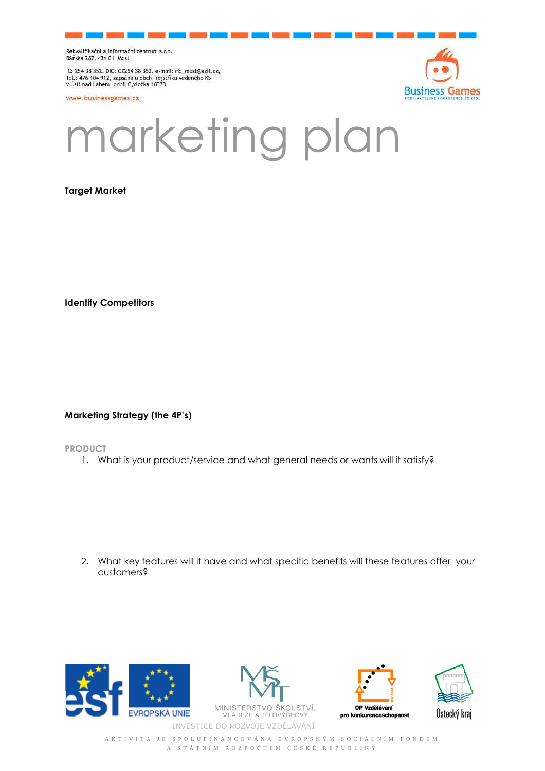Rekvalifikační a informační centrum s.r.o.<br>Báňská 287, 434 01 Most

IČ: 254 38 352, DIČ: CZ254 38 352, e-mail: ric\_most@azit.cz,<br>Tel.: 476 104 912, zapsána u obch. rejstříku vedeného KS<br>v Ústí nad Labem, oddíl C,vložka 18373

www.businessgames.cz



## marketing plan

**Target Market** 

**Identify Competitors** 

**Marketing Strategy (the 4P's)** 

**PRODUCT** 

1. What is your product/service and what general needs or wants will it satisfy?

2. What key features will it have and what specific benefits will these features offer your customers?









A K T I V I T A J E S P O L U F I N A N C O V Á N A E V R O P S K Ý M S O C I Á L N Í M F O N D E M A S T Á T N Í M R O Z P O Č T E M Č E S K É R E P U B L I K Y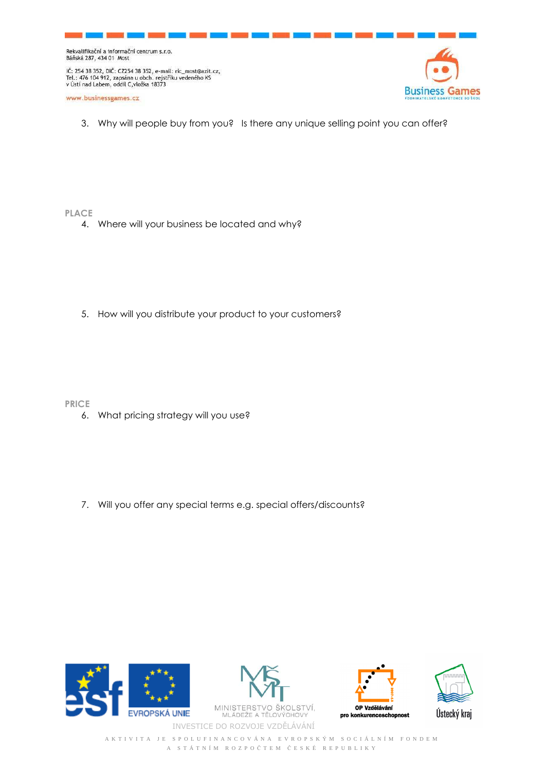Rekvalifikační a informační centrum s.r.o.<br>Báňská 287, 434 01 Most

IČ: 254 38 352, DIČ: CZ254 38 352, e-mail: ric\_most@azit.cz,<br>Tel.: 476 104 912, zapsána u obch. rejstříku vedeného KS<br>v Ústí nad Labem, oddíl C,vložka 18373

www.businessgames.cz



3. Why will people buy from you? Is there any unique selling point you can offer?

**PLACE** 

4. Where will your business be located and why?

5. How will you distribute your product to your customers?

**PRICE** 

6. What pricing strategy will you use?

7. Will you offer any special terms e.g. special offers/discounts?









A K T I V I T A J E S P O L U F I N A N C O V Á N A E V R O P S K Ý M S O C I Á L N Í M F O N D E M A S T Á T N Í M R O Z P O Č T E M Č E S K É R E P U B L I K Y